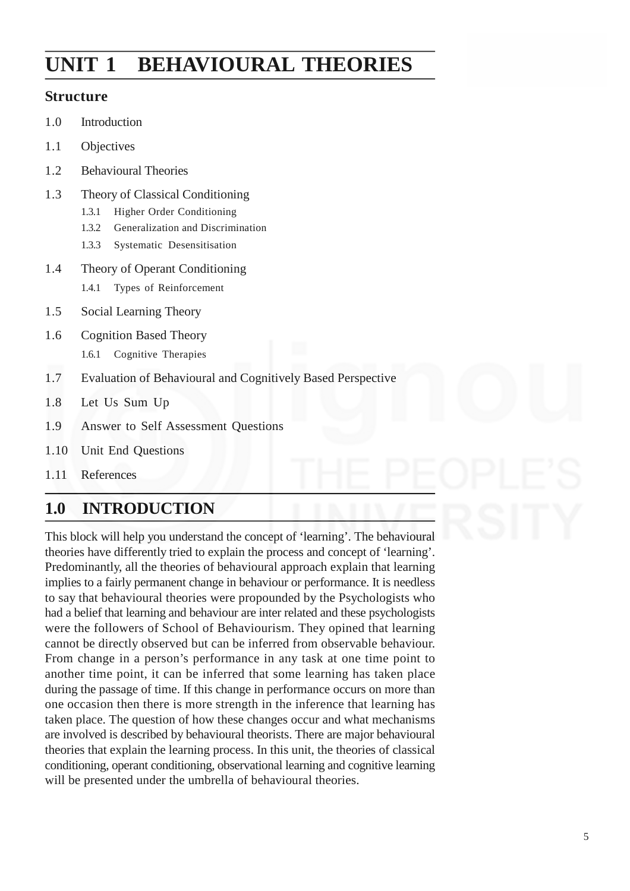# **UNIT 1 BEHAVIOURAL THEORIES**

#### **Structure**

- 1.0 Introduction
- 1.1 Objectives
- 1.2 Behavioural Theories
- 1.3 Theory of Classical Conditioning
	- 1.3.1 Higher Order Conditioning
	- 1.3.2 Generalization and Discrimination
	- 1.3.3 Systematic Desensitisation
- 1.4 Theory of Operant Conditioning
	- 1.4.1 Types of Reinforcement
- 1.5 Social Learning Theory
- 1.6 Cognition Based Theory 1.6.1 Cognitive Therapies
- 1.7 Evaluation of Behavioural and Cognitively Based Perspective
- 1.8 Let Us Sum Up
- 1.9 Answer to Self Assessment Questions
- 1.10 Unit End Questions
- 1.11 References

## **1.0 INTRODUCTION**

This block will help you understand the concept of 'learning'. The behavioural theories have differently tried to explain the process and concept of 'learning'. Predominantly, all the theories of behavioural approach explain that learning implies to a fairly permanent change in behaviour or performance. It is needless to say that behavioural theories were propounded by the Psychologists who had a belief that learning and behaviour are inter related and these psychologists were the followers of School of Behaviourism. They opined that learning cannot be directly observed but can be inferred from observable behaviour. From change in a person's performance in any task at one time point to another time point, it can be inferred that some learning has taken place during the passage of time. If this change in performance occurs on more than one occasion then there is more strength in the inference that learning has taken place. The question of how these changes occur and what mechanisms are involved is described by behavioural theorists. There are major behavioural theories that explain the learning process. In this unit, the theories of classical conditioning, operant conditioning, observational learning and cognitive learning will be presented under the umbrella of behavioural theories.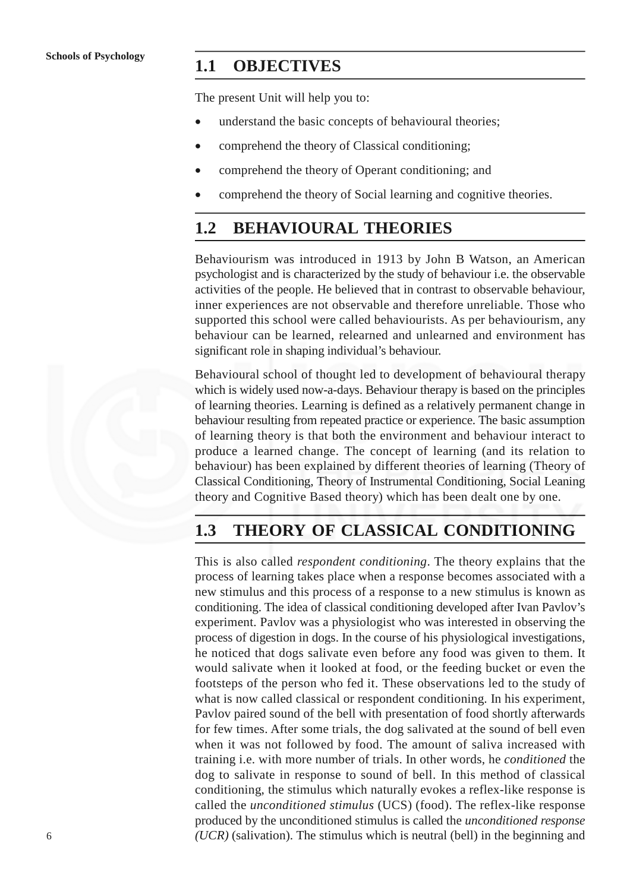#### **1.1 OBJECTIVES**

The present Unit will help you to:

- understand the basic concepts of behavioural theories;
- comprehend the theory of Classical conditioning;
- comprehend the theory of Operant conditioning; and
- comprehend the theory of Social learning and cognitive theories.

### **1.2 BEHAVIOURAL THEORIES**

Behaviourism was introduced in 1913 by John B Watson, an American psychologist and is characterized by the study of behaviour i.e. the observable activities of the people. He believed that in contrast to observable behaviour, inner experiences are not observable and therefore unreliable. Those who supported this school were called behaviourists. As per behaviourism, any behaviour can be learned, relearned and unlearned and environment has significant role in shaping individual's behaviour.

Behavioural school of thought led to development of behavioural therapy which is widely used now-a-days. Behaviour therapy is based on the principles of learning theories. Learning is defined as a relatively permanent change in behaviour resulting from repeated practice or experience. The basic assumption of learning theory is that both the environment and behaviour interact to produce a learned change. The concept of learning (and its relation to behaviour) has been explained by different theories of learning (Theory of Classical Conditioning, Theory of Instrumental Conditioning, Social Leaning theory and Cognitive Based theory) which has been dealt one by one.

### **1.3 THEORY OF CLASSICAL CONDITIONING**

This is also called *respondent conditioning*. The theory explains that the process of learning takes place when a response becomes associated with a new stimulus and this process of a response to a new stimulus is known as conditioning. The idea of classical conditioning developed after Ivan Pavlov's experiment. Pavlov was a physiologist who was interested in observing the process of digestion in dogs. In the course of his physiological investigations, he noticed that dogs salivate even before any food was given to them. It would salivate when it looked at food, or the feeding bucket or even the footsteps of the person who fed it. These observations led to the study of what is now called classical or respondent conditioning. In his experiment, Pavlov paired sound of the bell with presentation of food shortly afterwards for few times. After some trials, the dog salivated at the sound of bell even when it was not followed by food. The amount of saliva increased with training i.e. with more number of trials. In other words, he *conditioned* the dog to salivate in response to sound of bell. In this method of classical conditioning, the stimulus which naturally evokes a reflex-like response is called the *unconditioned stimulus* (UCS) (food). The reflex-like response produced by the unconditioned stimulus is called the *unconditioned response (UCR)* (salivation). The stimulus which is neutral (bell) in the beginning and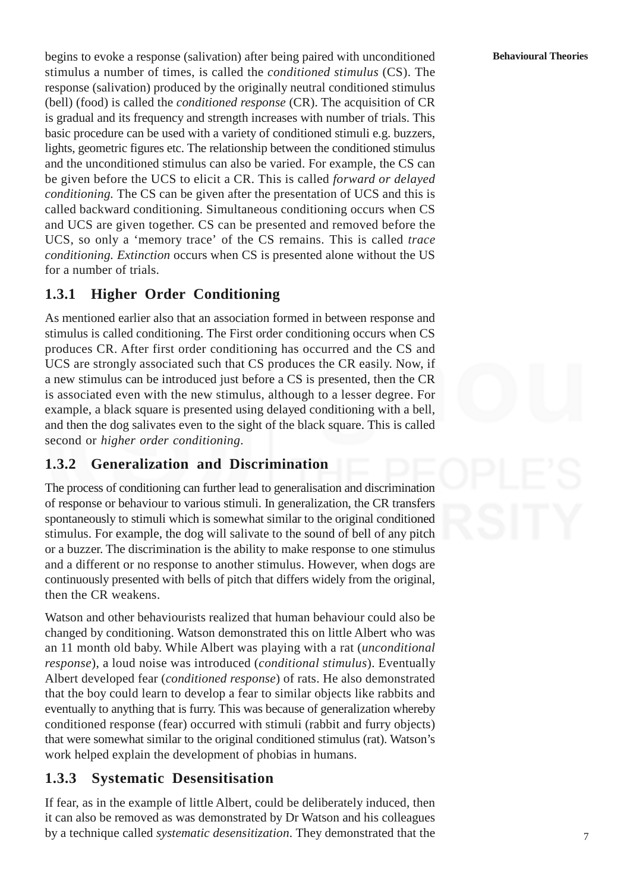begins to evoke a response (salivation) after being paired with unconditioned stimulus a number of times, is called the *conditioned stimulus* (CS). The response (salivation) produced by the originally neutral conditioned stimulus (bell) (food) is called the *conditioned response* (CR). The acquisition of CR is gradual and its frequency and strength increases with number of trials. This basic procedure can be used with a variety of conditioned stimuli e.g. buzzers, lights, geometric figures etc. The relationship between the conditioned stimulus and the unconditioned stimulus can also be varied. For example, the CS can be given before the UCS to elicit a CR. This is called *forward or delayed conditioning.* The CS can be given after the presentation of UCS and this is called backward conditioning. Simultaneous conditioning occurs when CS and UCS are given together. CS can be presented and removed before the UCS, so only a 'memory trace' of the CS remains. This is called *trace conditioning. Extinction* occurs when CS is presented alone without the US for a number of trials.

### **1.3.1 Higher Order Conditioning**

As mentioned earlier also that an association formed in between response and stimulus is called conditioning. The First order conditioning occurs when CS produces CR. After first order conditioning has occurred and the CS and UCS are strongly associated such that CS produces the CR easily. Now, if a new stimulus can be introduced just before a CS is presented, then the CR is associated even with the new stimulus, although to a lesser degree. For example, a black square is presented using delayed conditioning with a bell, and then the dog salivates even to the sight of the black square. This is called second or *higher order conditioning*.

### **1.3.2 Generalization and Discrimination**

The process of conditioning can further lead to generalisation and discrimination of response or behaviour to various stimuli. In generalization, the CR transfers spontaneously to stimuli which is somewhat similar to the original conditioned stimulus. For example, the dog will salivate to the sound of bell of any pitch or a buzzer. The discrimination is the ability to make response to one stimulus and a different or no response to another stimulus. However, when dogs are continuously presented with bells of pitch that differs widely from the original, then the CR weakens.

Watson and other behaviourists realized that human behaviour could also be changed by conditioning. Watson demonstrated this on little Albert who was an 11 month old baby. While Albert was playing with a rat (*unconditional response*), a loud noise was introduced (*conditional stimulus*). Eventually Albert developed fear (*conditioned response*) of rats. He also demonstrated that the boy could learn to develop a fear to similar objects like rabbits and eventually to anything that is furry. This was because of generalization whereby conditioned response (fear) occurred with stimuli (rabbit and furry objects) that were somewhat similar to the original conditioned stimulus (rat). Watson's work helped explain the development of phobias in humans.

### **1.3.3 Systematic Desensitisation**

If fear, as in the example of little Albert, could be deliberately induced, then it can also be removed as was demonstrated by Dr Watson and his colleagues by a technique called *systematic desensitization*. They demonstrated that the

7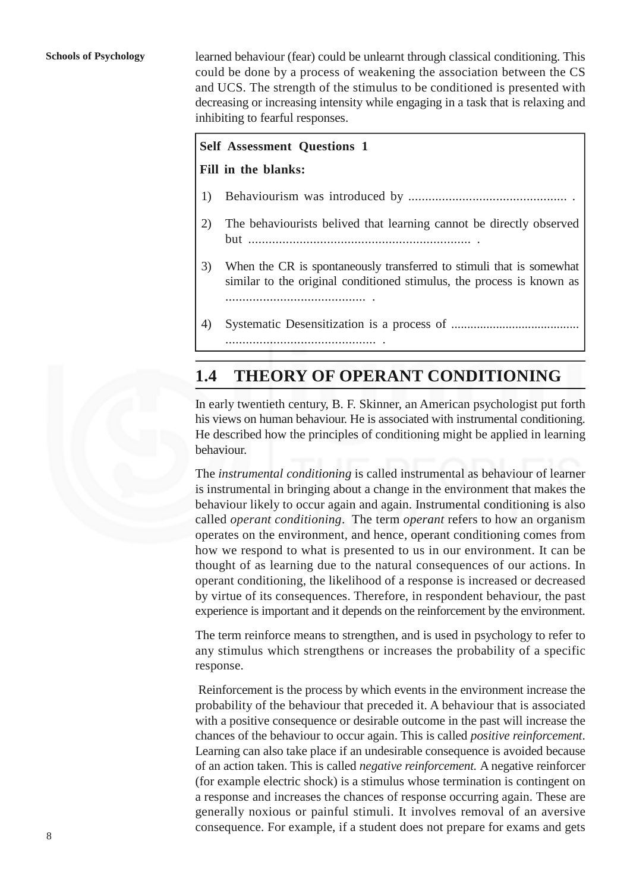learned behaviour (fear) could be unlearnt through classical conditioning. This could be done by a process of weakening the association between the CS and UCS. The strength of the stimulus to be conditioned is presented with decreasing or increasing intensity while engaging in a task that is relaxing and inhibiting to fearful responses.

#### **Self Assessment Questions 1**

#### **Fill in the blanks:**

- 1) Behaviourism was introduced by ............................................... .
- 2) The behaviourists belived that learning cannot be directly observed but ................................................................. .
- 3) When the CR is spontaneously transferred to stimuli that is somewhat similar to the original conditioned stimulus, the process is known as ......................................... .
- 4) Systematic Desensitization is a process of ........................................ ............................................ .

## **1.4 THEORY OF OPERANT CONDITIONING**

In early twentieth century, B. F. Skinner, an American psychologist put forth his views on human behaviour. He is associated with instrumental conditioning. He described how the principles of conditioning might be applied in learning behaviour.

The *instrumental conditioning* is called instrumental as behaviour of learner is instrumental in bringing about a change in the environment that makes the behaviour likely to occur again and again. Instrumental conditioning is also called *operant conditioning*. The term *operant* refers to how an organism operates on the environment, and hence, operant conditioning comes from how we respond to what is presented to us in our environment. It can be thought of as learning due to the natural consequences of our actions. In operant conditioning, the likelihood of a response is increased or decreased by virtue of its consequences. Therefore, in respondent behaviour, the past experience is important and it depends on the reinforcement by the environment.

The term reinforce means to strengthen, and is used in psychology to refer to any stimulus which strengthens or increases the probability of a specific response.

Reinforcement is the process by which events in the environment increase the probability of the behaviour that preceded it. A behaviour that is associated with a positive consequence or desirable outcome in the past will increase the chances of the behaviour to occur again. This is called *positive reinforcement*. Learning can also take place if an undesirable consequence is avoided because of an action taken. This is called *negative reinforcement.* A negative reinforcer (for example electric shock) is a stimulus whose termination is contingent on a response and increases the chances of response occurring again. These are generally noxious or painful stimuli. It involves removal of an aversive consequence. For example, if a student does not prepare for exams and gets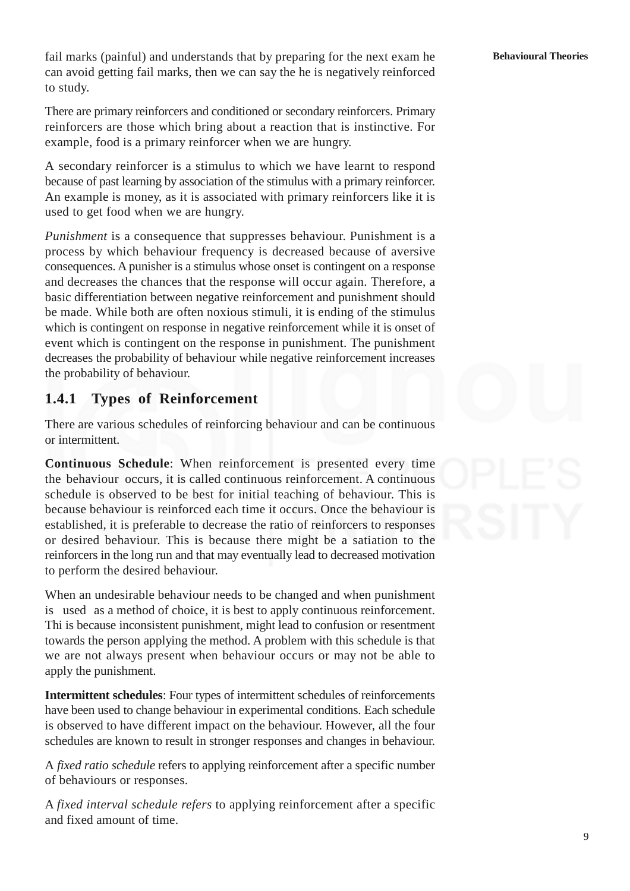fail marks (painful) and understands that by preparing for the next exam he can avoid getting fail marks, then we can say the he is negatively reinforced to study.

There are primary reinforcers and conditioned or secondary reinforcers. Primary reinforcers are those which bring about a reaction that is instinctive. For example, food is a primary reinforcer when we are hungry.

A secondary reinforcer is a stimulus to which we have learnt to respond because of past learning by association of the stimulus with a primary reinforcer. An example is money, as it is associated with primary reinforcers like it is used to get food when we are hungry.

*Punishment* is a consequence that suppresses behaviour. Punishment is a process by which behaviour frequency is decreased because of aversive consequences. A punisher is a stimulus whose onset is contingent on a response and decreases the chances that the response will occur again. Therefore, a basic differentiation between negative reinforcement and punishment should be made. While both are often noxious stimuli, it is ending of the stimulus which is contingent on response in negative reinforcement while it is onset of event which is contingent on the response in punishment. The punishment decreases the probability of behaviour while negative reinforcement increases the probability of behaviour.

### **1.4.1 Types of Reinforcement**

There are various schedules of reinforcing behaviour and can be continuous or intermittent.

**Continuous Schedule**: When reinforcement is presented every time the behaviour occurs, it is called continuous reinforcement. A continuous schedule is observed to be best for initial teaching of behaviour. This is because behaviour is reinforced each time it occurs. Once the behaviour is established, it is preferable to decrease the ratio of reinforcers to responses or desired behaviour. This is because there might be a satiation to the reinforcers in the long run and that may eventually lead to decreased motivation to perform the desired behaviour.

When an undesirable behaviour needs to be changed and when punishment is used as a method of choice, it is best to apply continuous reinforcement. Thi is because inconsistent punishment, might lead to confusion or resentment towards the person applying the method. A problem with this schedule is that we are not always present when behaviour occurs or may not be able to apply the punishment.

**Intermittent schedules**: Four types of intermittent schedules of reinforcements have been used to change behaviour in experimental conditions. Each schedule is observed to have different impact on the behaviour. However, all the four schedules are known to result in stronger responses and changes in behaviour.

A *fixed ratio schedule* refers to applying reinforcement after a specific number of behaviours or responses.

A *fixed interval schedule refers* to applying reinforcement after a specific and fixed amount of time.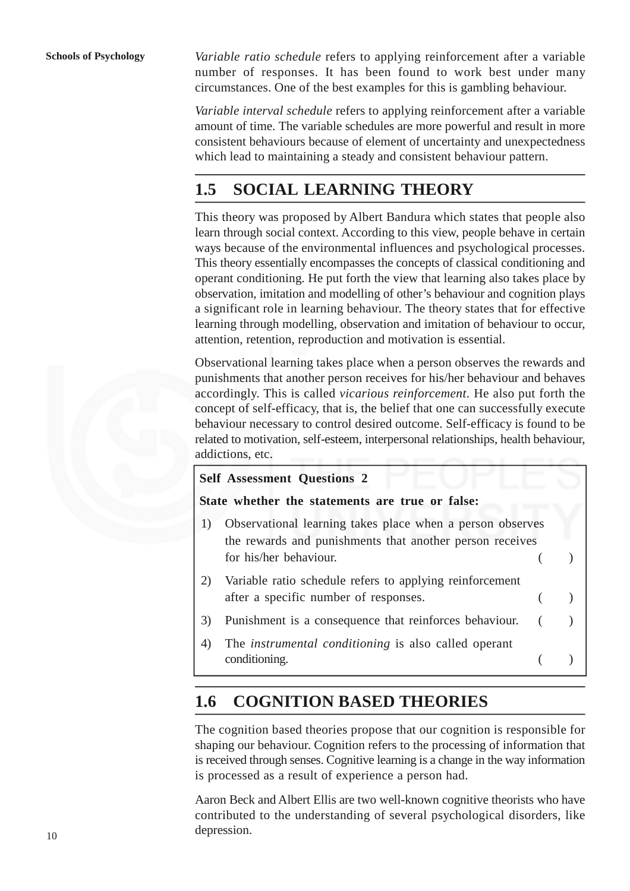*Variable ratio schedule* refers to applying reinforcement after a variable number of responses. It has been found to work best under many circumstances. One of the best examples for this is gambling behaviour.

*Variable interval schedule* refers to applying reinforcement after a variable amount of time. The variable schedules are more powerful and result in more consistent behaviours because of element of uncertainty and unexpectedness which lead to maintaining a steady and consistent behaviour pattern.

# **1.5 SOCIAL LEARNING THEORY**

This theory was proposed by Albert Bandura which states that people also learn through social context. According to this view, people behave in certain ways because of the environmental influences and psychological processes. This theory essentially encompasses the concepts of classical conditioning and operant conditioning. He put forth the view that learning also takes place by observation, imitation and modelling of other's behaviour and cognition plays a significant role in learning behaviour. The theory states that for effective learning through modelling, observation and imitation of behaviour to occur, attention, retention, reproduction and motivation is essential.

Observational learning takes place when a person observes the rewards and punishments that another person receives for his/her behaviour and behaves accordingly. This is called *vicarious reinforcement*. He also put forth the concept of self-efficacy, that is, the belief that one can successfully execute behaviour necessary to control desired outcome. Self-efficacy is found to be related to motivation, self-esteem, interpersonal relationships, health behaviour, addictions, etc.

|    | <b>Self Assessment Questions 2</b>                                                                                                              |  |
|----|-------------------------------------------------------------------------------------------------------------------------------------------------|--|
|    | State whether the statements are true or false:                                                                                                 |  |
| 1) | Observational learning takes place when a person observes<br>the rewards and punishments that another person receives<br>for his/her behaviour. |  |
| 2) | Variable ratio schedule refers to applying reinforcement<br>after a specific number of responses.                                               |  |
| 3) | Punishment is a consequence that reinforces behaviour.                                                                                          |  |
| 4) | The <i>instrumental conditioning</i> is also called operant<br>conditioning.                                                                    |  |

## **1.6 COGNITION BASED THEORIES**

The cognition based theories propose that our cognition is responsible for shaping our behaviour. Cognition refers to the processing of information that is received through senses. Cognitive learning is a change in the way information is processed as a result of experience a person had.

Aaron Beck and Albert Ellis are two well-known cognitive theorists who have contributed to the understanding of several psychological disorders, like depression.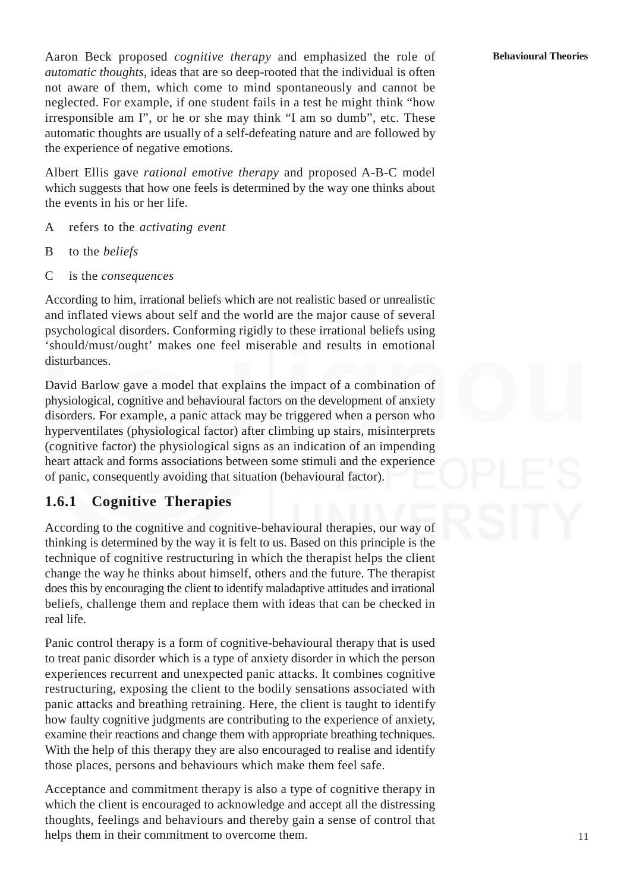Aaron Beck proposed *cognitive therapy* and emphasized the role of *automatic thoughts*, ideas that are so deep-rooted that the individual is often not aware of them, which come to mind spontaneously and cannot be neglected. For example, if one student fails in a test he might think "how irresponsible am I", or he or she may think "I am so dumb", etc. These automatic thoughts are usually of a self-defeating nature and are followed by the experience of negative emotions.

Albert Ellis gave *rational emotive therapy* and proposed A-B-C model which suggests that how one feels is determined by the way one thinks about the events in his or her life.

- A refers to the *activating event*
- B to the *beliefs*
- C is the *consequences*

According to him, irrational beliefs which are not realistic based or unrealistic and inflated views about self and the world are the major cause of several psychological disorders. Conforming rigidly to these irrational beliefs using 'should/must/ought' makes one feel miserable and results in emotional disturbances.

David Barlow gave a model that explains the impact of a combination of physiological, cognitive and behavioural factors on the development of anxiety disorders. For example, a panic attack may be triggered when a person who hyperventilates (physiological factor) after climbing up stairs, misinterprets (cognitive factor) the physiological signs as an indication of an impending heart attack and forms associations between some stimuli and the experience of panic, consequently avoiding that situation (behavioural factor).

### **1.6.1 Cognitive Therapies**

According to the cognitive and cognitive-behavioural therapies, our way of thinking is determined by the way it is felt to us. Based on this principle is the technique of cognitive restructuring in which the therapist helps the client change the way he thinks about himself, others and the future. The therapist does this by encouraging the client to identify maladaptive attitudes and irrational beliefs, challenge them and replace them with ideas that can be checked in real life.

Panic control therapy is a form of cognitive-behavioural therapy that is used to treat panic disorder which is a type of anxiety disorder in which the person experiences recurrent and unexpected panic attacks. It combines cognitive restructuring, exposing the client to the bodily sensations associated with panic attacks and breathing retraining. Here, the client is taught to identify how faulty cognitive judgments are contributing to the experience of anxiety, examine their reactions and change them with appropriate breathing techniques. With the help of this therapy they are also encouraged to realise and identify those places, persons and behaviours which make them feel safe.

Acceptance and commitment therapy is also a type of cognitive therapy in which the client is encouraged to acknowledge and accept all the distressing thoughts, feelings and behaviours and thereby gain a sense of control that helps them in their commitment to overcome them.

#### **Behavioural Theories**

11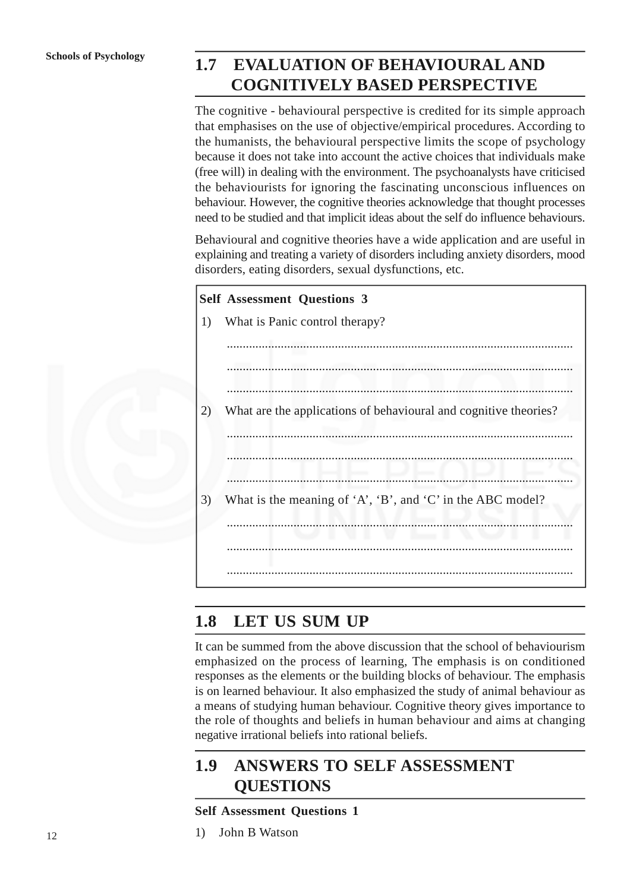## **1.7 EVALUATION OF BEHAVIOURAL AND COGNITIVELY BASED PERSPECTIVE**

The cognitive - behavioural perspective is credited for its simple approach that emphasises on the use of objective/empirical procedures. According to the humanists, the behavioural perspective limits the scope of psychology because it does not take into account the active choices that individuals make (free will) in dealing with the environment. The psychoanalysts have criticised the behaviourists for ignoring the fascinating unconscious influences on behaviour. However, the cognitive theories acknowledge that thought processes need to be studied and that implicit ideas about the self do influence behaviours.

Behavioural and cognitive theories have a wide application and are useful in explaining and treating a variety of disorders including anxiety disorders, mood disorders, eating disorders, sexual dysfunctions, etc.



## **1.8 LET US SUM UP**

It can be summed from the above discussion that the school of behaviourism emphasized on the process of learning, The emphasis is on conditioned responses as the elements or the building blocks of behaviour. The emphasis is on learned behaviour. It also emphasized the study of animal behaviour as a means of studying human behaviour. Cognitive theory gives importance to the role of thoughts and beliefs in human behaviour and aims at changing negative irrational beliefs into rational beliefs.

# **1.9 ANSWERS TO SELF ASSESSMENT QUESTIONS**

- **Self Assessment Questions 1**
- 1) John B Watson